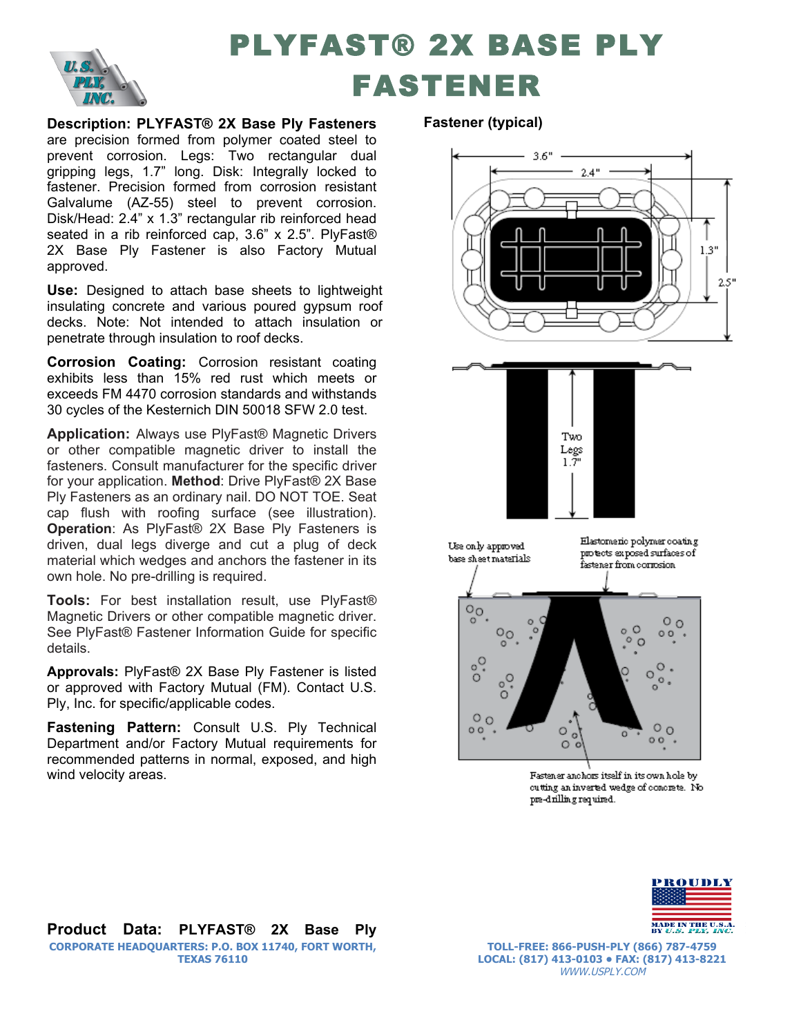

## PLYFAST® 2X BASE PLY FASTENER

**Description: PLYFAST® 2X Base Ply Fasteners**  are precision formed from polymer coated steel to prevent corrosion. Legs: Two rectangular dual gripping legs, 1.7" long. Disk: Integrally locked to fastener. Precision formed from corrosion resistant Galvalume (AZ-55) steel to prevent corrosion. Disk/Head: 2.4" x 1.3" rectangular rib reinforced head seated in a rib reinforced cap, 3.6" x 2.5". PlyFast® 2X Base Ply Fastener is also Factory Mutual approved.

**Use:** Designed to attach base sheets to lightweight insulating concrete and various poured gypsum roof decks. Note: Not intended to attach insulation or penetrate through insulation to roof decks.

**Corrosion Coating:** Corrosion resistant coating exhibits less than 15% red rust which meets or exceeds FM 4470 corrosion standards and withstands 30 cycles of the Kesternich DIN 50018 SFW 2.0 test.

**Application:** Always use PlyFast® Magnetic Drivers or other compatible magnetic driver to install the fasteners. Consult manufacturer for the specific driver for your application. **Method**: Drive PlyFast® 2X Base Ply Fasteners as an ordinary nail. DO NOT TOE. Seat cap flush with roofing surface (see illustration). **Operation**: As PlyFast® 2X Base Ply Fasteners is driven, dual legs diverge and cut a plug of deck material which wedges and anchors the fastener in its own hole. No pre-drilling is required.

**Tools:** For best installation result, use PlyFast® Magnetic Drivers or other compatible magnetic driver. See PlyFast® Fastener Information Guide for specific details.

**Approvals:** PlyFast® 2X Base Ply Fastener is listed or approved with Factory Mutual (FM). Contact U.S. Ply, Inc. for specific/applicable codes.

**Fastening Pattern:** Consult U.S. Ply Technical Department and/or Factory Mutual requirements for recommended patterns in normal, exposed, and high wind velocity areas.

## **Fastener (typical)**





Elastomeric polymer coating Use only approved protects exposed surfaces of base sheet materials fastener from corrosion  $\tilde{\circ}$  $\circ$   $\circ$  $\circ$ o O  $\overline{O}_Q$ O  $00$  $\sim$  0 ಼  $\circ$  .  $\circ$  $\circ$  $\circ$ .  $\circ$  o  $\circ$  o  $00$ O o  $\circ$  $\circ$ 

> Fastener anchors itself in its own hole by cutting an inverted wedge of concrete. No pre-drilling required.



**Product Data: PLYFAST® 2X Base Ply CORPORATE HEADQUARTERS: P.O. BOX 11740, FORT WORTH, TEXAS 76110**

**TOLL-FREE: 866-PUSH-PLY (866) 787-4759 LOCAL: (817) 413-0103 • FAX: (817) 413-8221** WWW.USPLY.COM